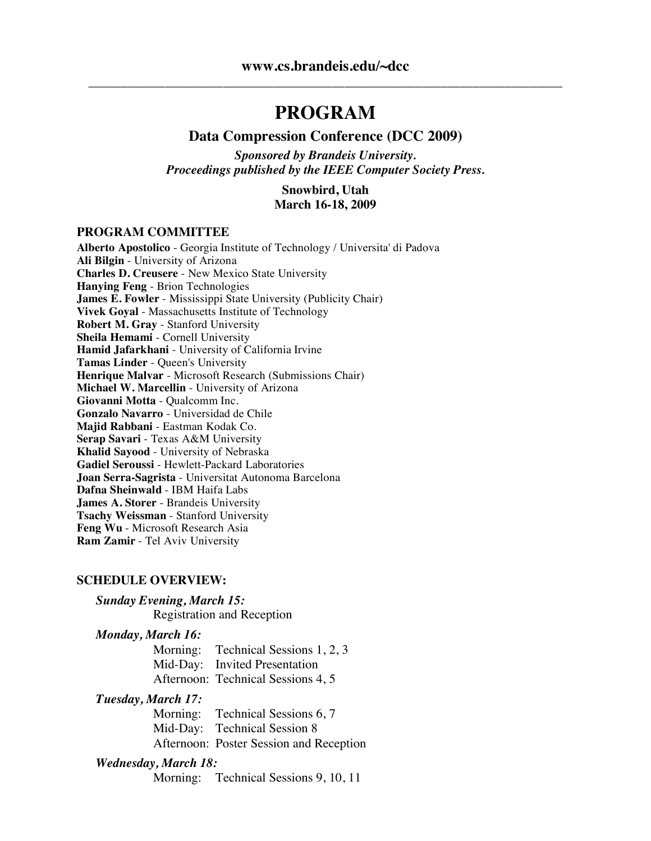## **PROGRAM**

#### **Data Compression Conference (DCC 2009)**

*Sponsored by Brandeis University. Proceedings published by the IEEE Computer Society Press.*

> **Snowbird, Utah March 16-18, 2009**

#### **PROGRAM COMMITTEE**

**Alberto Apostolico** - Georgia Institute of Technology / Universita' di Padova **Ali Bilgin** - University of Arizona **Charles D. Creusere** - New Mexico State University **Hanying Feng** - Brion Technologies **James E. Fowler** - Mississippi State University (Publicity Chair) **Vivek Goyal** - Massachusetts Institute of Technology **Robert M. Gray** - Stanford University **Sheila Hemami** - Cornell University **Hamid Jafarkhani** - University of California Irvine **Tamas Linder** - Queen's University **Henrique Malvar** - Microsoft Research (Submissions Chair) **Michael W. Marcellin** - University of Arizona **Giovanni Motta** - Qualcomm Inc. **Gonzalo Navarro** - Universidad de Chile **Majid Rabbani** - Eastman Kodak Co. **Serap Savari** - Texas A&M University **Khalid Sayood** - University of Nebraska **Gadiel Seroussi** - Hewlett-Packard Laboratories **Joan Serra-Sagrista** - Universitat Autonoma Barcelona **Dafna Sheinwald** - IBM Haifa Labs **James A. Storer** - Brandeis University **Tsachy Weissman** - Stanford University **Feng Wu** - Microsoft Research Asia **Ram Zamir** - Tel Aviv University

#### **SCHEDULE OVERVIEW:**

#### *Sunday Evening, March 15:*

Registration and Reception

#### *Monday, March 16:*

Morning: Technical Sessions 1, 2, 3 Mid-Day: Invited Presentation Afternoon: Technical Sessions 4, 5

#### *Tuesday, March 17:*

Morning: Technical Sessions 6, 7 Mid-Day: Technical Session 8 Afternoon: Poster Session and Reception

#### *Wednesday, March 18:*

Morning: Technical Sessions 9, 10, 11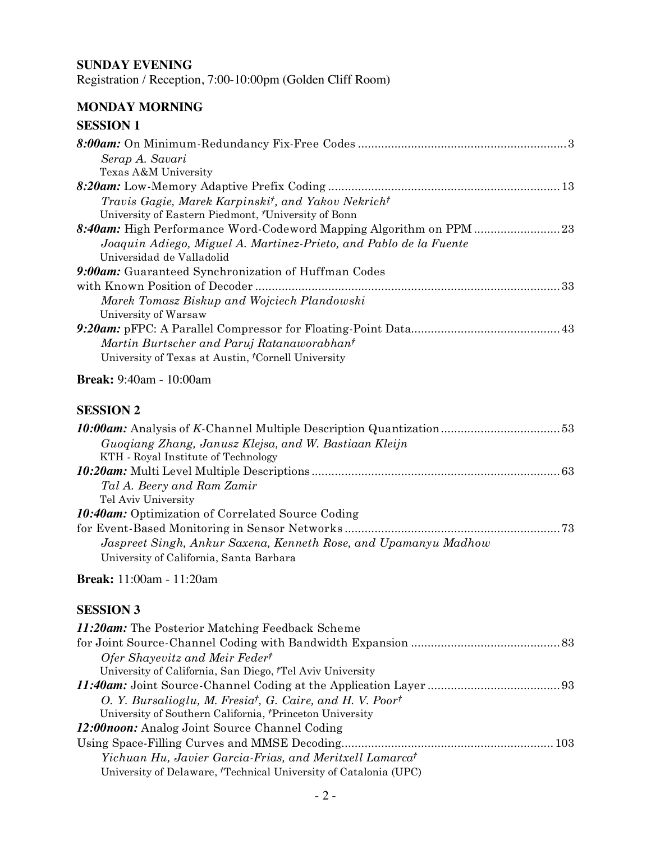#### **SUNDAY EVENING**

Registration / Reception, 7:00-10:00pm (Golden Cliff Room)

## **MONDAY MORNING**

| <b>SESSION 1</b>                                                            |  |
|-----------------------------------------------------------------------------|--|
|                                                                             |  |
| Serap A. Savari                                                             |  |
| Texas A&M University                                                        |  |
|                                                                             |  |
| Travis Gagie, Marek Karpinski <sup>†</sup> , and Yakov Nekrich <sup>†</sup> |  |
| University of Eastern Piedmont, 'University of Bonn                         |  |
|                                                                             |  |
| Joaquin Adiego, Miguel A. Martinez-Prieto, and Pablo de la Fuente           |  |
| Universidad de Valladolid                                                   |  |
| 9:00am: Guaranteed Synchronization of Huffman Codes                         |  |
|                                                                             |  |
| Marek Tomasz Biskup and Wojciech Plandowski                                 |  |
| University of Warsaw                                                        |  |
|                                                                             |  |
| Martin Burtscher and Paruj Ratanaworabhan <sup>†</sup>                      |  |
| University of Texas at Austin, 'Cornell University                          |  |
| <b>Break:</b> 9:40am - 10:00am                                              |  |
| <b>SESSION 2</b>                                                            |  |
|                                                                             |  |
| Guoqiang Zhang, Janusz Klejsa, and W. Bastiaan Kleijn                       |  |
| KTH - Royal Institute of Technology                                         |  |
|                                                                             |  |
| Tal A. Beery and Ram Zamir                                                  |  |
| Tel Aviv University                                                         |  |
| <b>10:40am:</b> Optimization of Correlated Source Coding                    |  |
|                                                                             |  |
| Jaspreet Singh, Ankur Saxena, Kenneth Rose, and Upamanyu Madhow             |  |

**Break:** 11:00am - 11:20am

University of California, Santa Barbara

| 11:20am: The Posterior Matching Feedback Scheme                                   |
|-----------------------------------------------------------------------------------|
|                                                                                   |
| Ofer Shayevitz and Meir Feder <sup>†</sup>                                        |
| University of California, San Diego, <sup>†</sup> Tel Aviv University             |
|                                                                                   |
| O. Y. Bursalioglu, M. Fresia <sup>†</sup> , G. Caire, and H. V. Poor <sup>†</sup> |
| University of Southern California, Princeton University                           |
| 12:00noon: Analog Joint Source Channel Coding                                     |
|                                                                                   |
| Yichuan Hu, Javier Garcia-Frias, and Meritxell Lamarca <sup>†</sup>               |
| University of Delaware, <sup>†</sup> Technical University of Catalonia (UPC)      |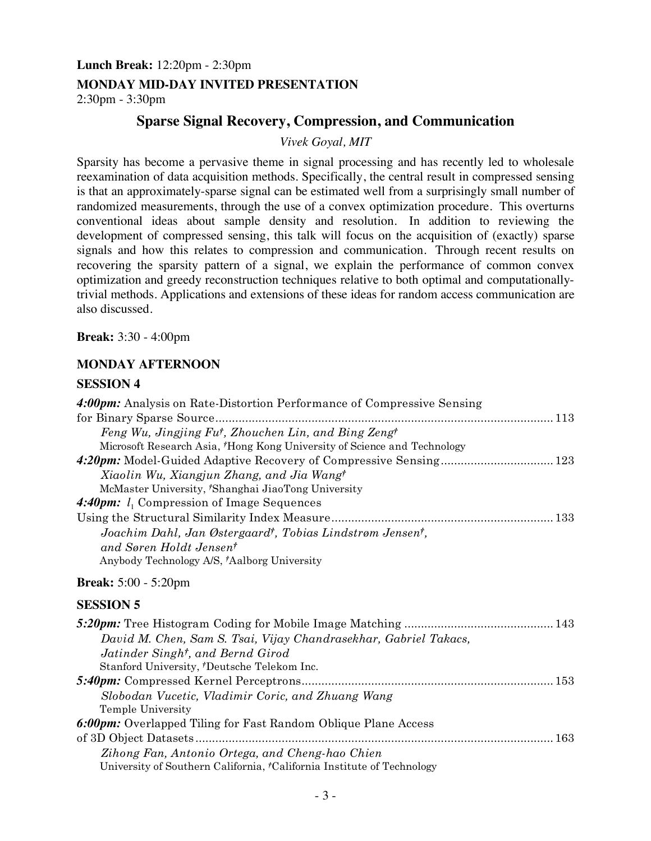#### **Lunch Break:** 12:20pm - 2:30pm

#### **MONDAY MID-DAY INVITED PRESENTATION**

2:30pm - 3:30pm

## **Sparse Signal Recovery, Compression, and Communication**

*Vivek Goyal, MIT*

Sparsity has become a pervasive theme in signal processing and has recently led to wholesale reexamination of data acquisition methods. Specifically, the central result in compressed sensing is that an approximately-sparse signal can be estimated well from a surprisingly small number of randomized measurements, through the use of a convex optimization procedure. This overturns conventional ideas about sample density and resolution. In addition to reviewing the development of compressed sensing, this talk will focus on the acquisition of (exactly) sparse signals and how this relates to compression and communication. Through recent results on recovering the sparsity pattern of a signal, we explain the performance of common convex optimization and greedy reconstruction techniques relative to both optimal and computationallytrivial methods. Applications and extensions of these ideas for random access communication are also discussed.

**Break:** 3:30 - 4:00pm

#### **MONDAY AFTERNOON**

| 4:00pm: Analysis on Rate-Distortion Performance of Compressive Sensing               |
|--------------------------------------------------------------------------------------|
|                                                                                      |
| Feng Wu, Jingjing Fu <sup>†</sup> , Zhouchen Lin, and Bing Zeng <sup>†</sup>         |
| Microsoft Research Asia, <sup>†</sup> Hong Kong University of Science and Technology |
|                                                                                      |
| Xiaolin Wu, Xiangjun Zhang, and Jia Wang <sup>†</sup>                                |
| McMaster University, 'Shanghai JiaoTong University                                   |
| <b>4:40pm:</b> $l_1$ Compression of Image Sequences                                  |
|                                                                                      |
| Joachim Dahl, Jan Østergaard <sup>†</sup> , Tobias Lindstrøm Jensen <sup>†</sup> ,   |
| and Søren Holdt Jensen <sup>†</sup>                                                  |
| Anybody Technology A/S, <sup>†</sup> Aalborg University                              |
| <b>Break:</b> $5:00 - 5:20 \text{pm}$                                                |
| <b>SESSION 5</b>                                                                     |
|                                                                                      |
| David M. Chen, Sam S. Tsai, Vijay Chandrasekhar, Gabriel Takacs,                     |
| Jatinder Singht, and Bernd Girod                                                     |
| Stanford University, 'Deutsche Telekom Inc.                                          |
|                                                                                      |
| Slobodan Vucetic, Vladimir Coric, and Zhuang Wang                                    |
| Temple University                                                                    |
| 6:00pm: Overlapped Tiling for Fast Random Oblique Plane Access                       |
|                                                                                      |
| Zihong Fan, Antonio Ortega, and Cheng-hao Chien                                      |
| University of Southern California, <sup>†</sup> California Institute of Technology   |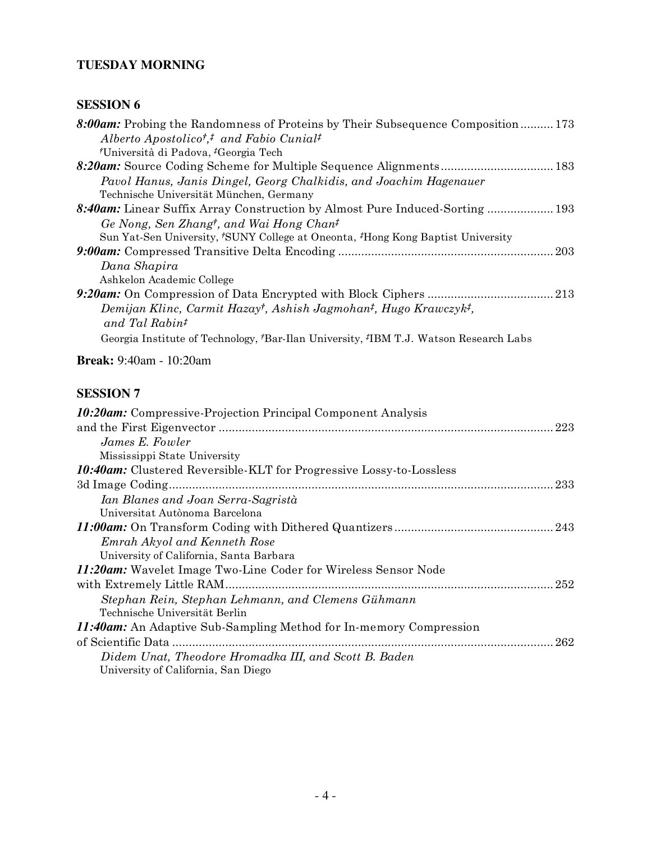## **TUESDAY MORNING**

| 8:00am: Probing the Randomness of Proteins by Their Subsequence Composition173                         |
|--------------------------------------------------------------------------------------------------------|
| Alberto Apostolico <sup>†</sup> , <sup>†</sup> and Fabio Cunial <sup>†</sup>                           |
| <i>†</i> Università di Padova, <i>†</i> Georgia Tech                                                   |
| 8:20am: Source Coding Scheme for Multiple Sequence Alignments 183                                      |
| Pavol Hanus, Janis Dingel, Georg Chalkidis, and Joachim Hagenauer                                      |
| Technische Universität München, Germany                                                                |
| 8:40am: Linear Suffix Array Construction by Almost Pure Induced-Sorting  193                           |
| Ge Nong, Sen Zhangt, and Wai Hong Chant                                                                |
| Sun Yat-Sen University, 'SUNY College at Oneonta, 'Hong Kong Baptist University                        |
|                                                                                                        |
| Dana Shapira                                                                                           |
| Ashkelon Academic College                                                                              |
|                                                                                                        |
| Demijan Klinc, Carmit Hazay <sup>†</sup> , Ashish Jagmohan <sup>‡</sup> , Hugo Krawczyk <sup>‡</sup> , |
| and Tal Rabin <sup>#</sup>                                                                             |
| Georgia Institute of Technology, <i>†Bar-Ilan University</i> , <i>†BM T.J.</i> Watson Research Labs    |
| <b>Break:</b> 9:40am - 10:20am                                                                         |
| <b>SESSION 7</b>                                                                                       |
| <i><b>10:20am:</b></i> Compressive-Projection Principal Component Analysis                             |

| <b>10:20am:</b> Compressive-Projection Principal Component Analysis        |  |
|----------------------------------------------------------------------------|--|
|                                                                            |  |
| James E. Fowler                                                            |  |
| Mississippi State University                                               |  |
| <b>10:40am:</b> Clustered Reversible-KLT for Progressive Lossy-to-Lossless |  |
|                                                                            |  |
| Ian Blanes and Joan Serra-Sagristà                                         |  |
| Universitat Autònoma Barcelona                                             |  |
|                                                                            |  |
| Emrah Akyol and Kenneth Rose                                               |  |
| University of California, Santa Barbara                                    |  |
| 11:20am: Wavelet Image Two-Line Coder for Wireless Sensor Node             |  |
|                                                                            |  |
| Stephan Rein, Stephan Lehmann, and Clemens Gühmann                         |  |
| Technische Universität Berlin                                              |  |
| <i>11:40am:</i> An Adaptive Sub-Sampling Method for In-memory Compression  |  |
|                                                                            |  |
| Didem Unat, Theodore Hromadka III, and Scott B. Baden                      |  |
| University of California, San Diego                                        |  |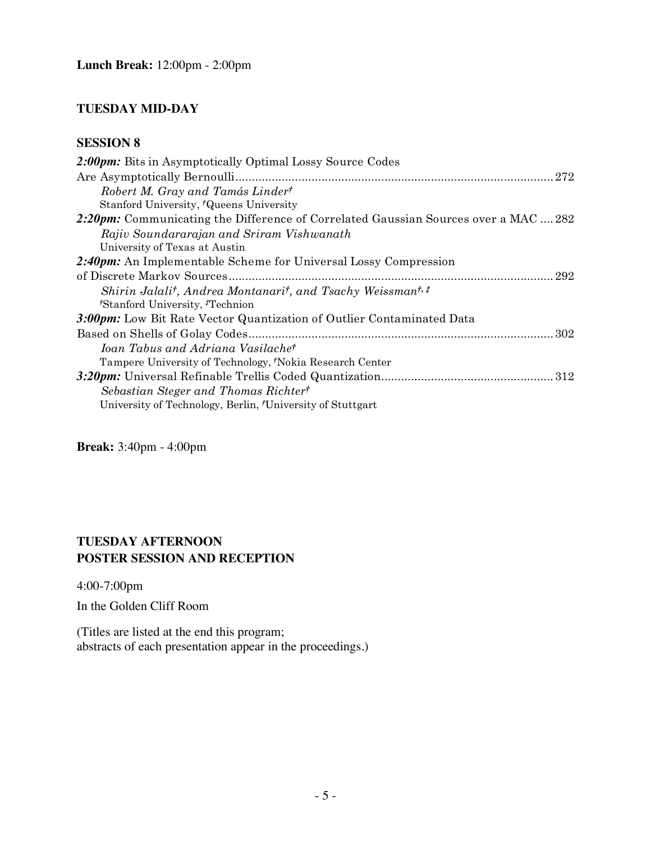## **TUESDAY MID-DAY**

## **SESSION 8**

| 2:00pm: Bits in Asymptotically Optimal Lossy Source Codes                                        |
|--------------------------------------------------------------------------------------------------|
|                                                                                                  |
| Robert M. Gray and Tamás Linder <sup>†</sup>                                                     |
| Stanford University, 'Queens University                                                          |
| 2:20pm: Communicating the Difference of Correlated Gaussian Sources over a MAC  282              |
| Rajiv Soundararajan and Sriram Vishwanath                                                        |
| University of Texas at Austin                                                                    |
| 2:40pm: An Implementable Scheme for Universal Lossy Compression                                  |
|                                                                                                  |
| Shirin Jalali <sup>†</sup> , Andrea Montanari <sup>†</sup> , and Tsachy Weissman <sup>†, ‡</sup> |
| 'Stanford University, <sup>*</sup> Technion                                                      |
| 3:00pm: Low Bit Rate Vector Quantization of Outlier Contaminated Data                            |
|                                                                                                  |
| Ioan Tabus and Adriana Vasilache <sup>†</sup>                                                    |
| Tampere University of Technology, Nokia Research Center                                          |
|                                                                                                  |
| Sebastian Steger and Thomas Richtert                                                             |
| University of Technology, Berlin, University of Stuttgart                                        |

**Break:** 3:40pm - 4:00pm

## **TUESDAY AFTERNOON POSTER SESSION AND RECEPTION**

4:00-7:00pm

In the Golden Cliff Room

(Titles are listed at the end this program; abstracts of each presentation appear in the proceedings.)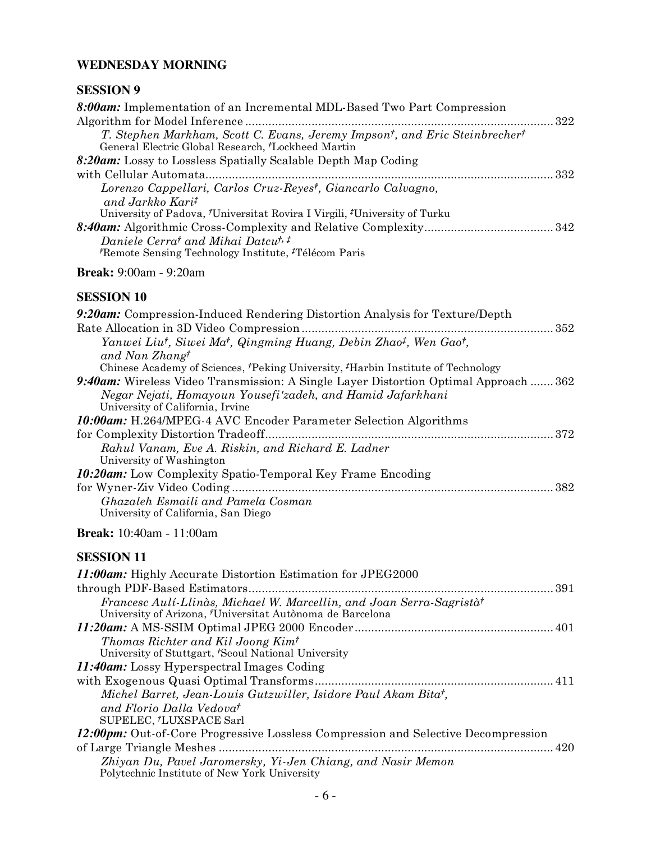## **WEDNESDAY MORNING**

## **SESSION 9**

| 8:00am: Implementation of an Incremental MDL-Based Two Part Compression                                                                                               |  |
|-----------------------------------------------------------------------------------------------------------------------------------------------------------------------|--|
|                                                                                                                                                                       |  |
| T. Stephen Markham, Scott C. Evans, Jeremy Impson <sup>†</sup> , and Eric Steinbrecher <sup>†</sup><br>General Electric Global Research, <sup>†</sup> Lockheed Martin |  |
| 8:20am: Lossy to Lossless Spatially Scalable Depth Map Coding                                                                                                         |  |
|                                                                                                                                                                       |  |
| Lorenzo Cappellari, Carlos Cruz-Reyes <sup>†</sup> , Giancarlo Calvagno,                                                                                              |  |
| and Jarkko Karit                                                                                                                                                      |  |
| University of Padova, <sup>†</sup> Universitat Rovira I Virgili, <sup>‡</sup> University of Turku                                                                     |  |
|                                                                                                                                                                       |  |
| Daniele Cerra <sup>†</sup> and Mihai Datcu <sup>†,‡</sup><br>Remote Sensing Technology Institute, <sup>†</sup> Télécom Paris                                          |  |
|                                                                                                                                                                       |  |

#### **Break:** 9:00am - 9:20am

# **SESSION 10**<br>0.20am Com

| <u>DIDDI OI 1 1 0</u>                                                                                                                                     |     |
|-----------------------------------------------------------------------------------------------------------------------------------------------------------|-----|
| 9:20am: Compression-Induced Rendering Distortion Analysis for Texture/Depth                                                                               |     |
|                                                                                                                                                           |     |
| Yanwei Liu <sup>†</sup> , Siwei Ma <sup>†</sup> , Qingming Huang, Debin Zhao <sup>‡</sup> , Wen Gao <sup>†</sup> ,<br>and Nan Zhang <sup>†</sup>          |     |
| Chinese Academy of Sciences, 'Peking University, 'Harbin Institute of Technology                                                                          |     |
| <b>9:40am:</b> Wireless Video Transmission: A Single Layer Distortion Optimal Approach  362<br>Negar Nejati, Homayoun Yousefi'zadeh, and Hamid Jafarkhani |     |
| University of California, Irvine                                                                                                                          |     |
| <b>10:00am:</b> H.264/MPEG-4 AVC Encoder Parameter Selection Algorithms                                                                                   |     |
|                                                                                                                                                           | 372 |
| Rahul Vanam, Eve A. Riskin, and Richard E. Ladner<br>University of Washington                                                                             |     |
| <b>10:20am:</b> Low Complexity Spatio-Temporal Key Frame Encoding                                                                                         |     |
|                                                                                                                                                           | 382 |
| Ghazaleh Esmaili and Pamela Cosman<br>University of California, San Diego                                                                                 |     |
|                                                                                                                                                           |     |

**Break:** 10:40am - 11:00am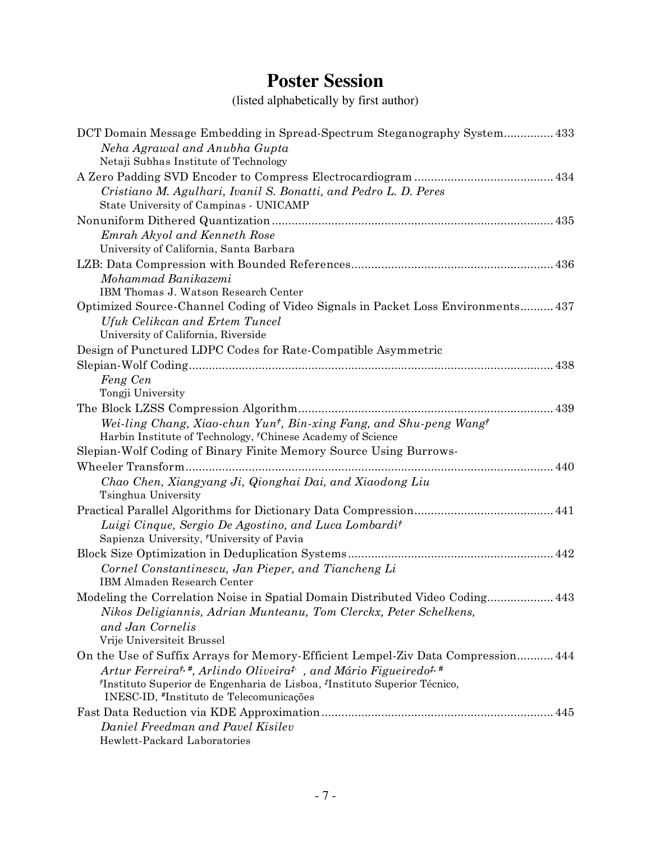## **Poster Session**

(listed alphabetically by first author)

| DCT Domain Message Embedding in Spread-Spectrum Steganography System 433<br>Neha Agrawal and Anubha Gupta                                     |
|-----------------------------------------------------------------------------------------------------------------------------------------------|
| Netaji Subhas Institute of Technology                                                                                                         |
|                                                                                                                                               |
| Cristiano M. Agulhari, Ivanil S. Bonatti, and Pedro L. D. Peres                                                                               |
| State University of Campinas - UNICAMP                                                                                                        |
|                                                                                                                                               |
| Emrah Akyol and Kenneth Rose                                                                                                                  |
| University of California, Santa Barbara                                                                                                       |
|                                                                                                                                               |
| Mohammad Banikazemi                                                                                                                           |
| IBM Thomas J. Watson Research Center                                                                                                          |
| Optimized Source-Channel Coding of Video Signals in Packet Loss Environments 437                                                              |
| Ufuk Celikcan and Ertem Tuncel                                                                                                                |
| University of California, Riverside                                                                                                           |
| Design of Punctured LDPC Codes for Rate-Compatible Asymmetric                                                                                 |
|                                                                                                                                               |
| Feng Cen                                                                                                                                      |
| Tongji University                                                                                                                             |
|                                                                                                                                               |
| Wei-ling Chang, Xiao-chun Yun <sup>†</sup> , Bin-xing Fang, and Shu-peng Wang <sup>†</sup>                                                    |
| Harbin Institute of Technology, <sup>†</sup> Chinese Academy of Science                                                                       |
| Slepian-Wolf Coding of Binary Finite Memory Source Using Burrows-                                                                             |
|                                                                                                                                               |
| Chao Chen, Xiangyang Ji, Qionghai Dai, and Xiaodong Liu                                                                                       |
| Tsinghua University                                                                                                                           |
|                                                                                                                                               |
| Luigi Cinque, Sergio De Agostino, and Luca Lombardi <sup>†</sup>                                                                              |
| Sapienza University, 'University of Pavia                                                                                                     |
|                                                                                                                                               |
| Cornel Constantinescu, Jan Pieper, and Tiancheng Li                                                                                           |
| IBM Almaden Research Center                                                                                                                   |
| Modeling the Correlation Noise in Spatial Domain Distributed Video Coding 443                                                                 |
| Nikos Deligiannis, Adrian Munteanu, Tom Clerckx, Peter Schelkens,                                                                             |
| and Jan Cornelis                                                                                                                              |
| Vrije Universiteit Brussel                                                                                                                    |
| On the Use of Suffix Arrays for Memory-Efficient Lempel-Ziv Data Compression 444                                                              |
| Artur Ferreira <sup>t,#</sup> , Arlindo Oliveira <sup>t,</sup> , and Mário Figueiredo <sup>t,#</sup>                                          |
| <sup>†</sup> Instituto Superior de Engenharia de Lisboa, <sup>‡</sup> Instituto Superior Técnico,<br>INESC-ID, #Instituto de Telecomunicações |
|                                                                                                                                               |
| Daniel Freedman and Pavel Kisilev                                                                                                             |
| Hewlett-Packard Laboratories                                                                                                                  |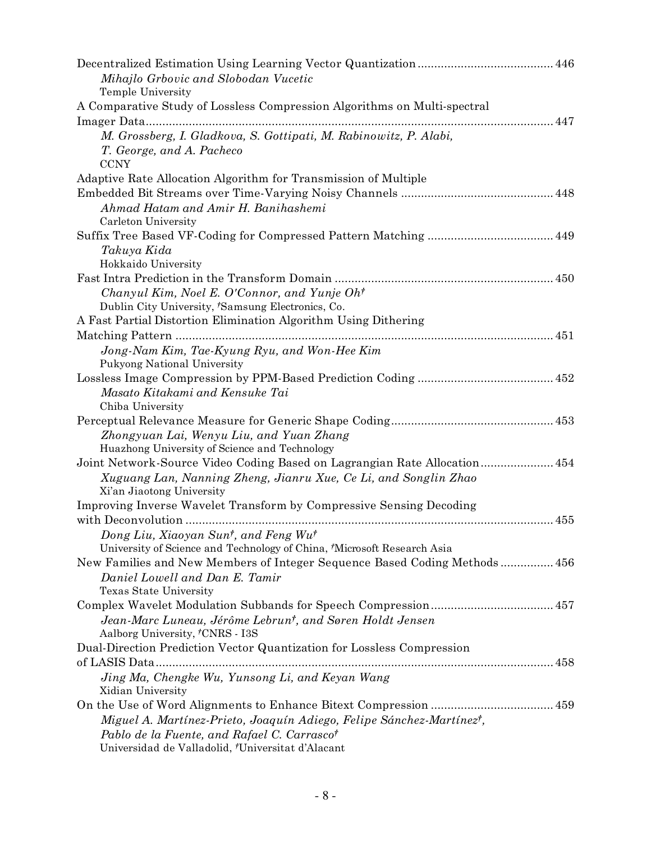| Mihajlo Grbovic and Slobodan Vucetic                                              |
|-----------------------------------------------------------------------------------|
| Temple University                                                                 |
| A Comparative Study of Lossless Compression Algorithms on Multi-spectral          |
|                                                                                   |
| M. Grossberg, I. Gladkova, S. Gottipati, M. Rabinowitz, P. Alabi,                 |
| T. George, and A. Pacheco                                                         |
| <b>CCNY</b>                                                                       |
| Adaptive Rate Allocation Algorithm for Transmission of Multiple                   |
|                                                                                   |
| Ahmad Hatam and Amir H. Banihashemi                                               |
| Carleton University                                                               |
|                                                                                   |
| Takuya Kida                                                                       |
| Hokkaido University                                                               |
|                                                                                   |
| Chanyul Kim, Noel E. O'Connor, and Yunje Oh <sup>†</sup>                          |
| Dublin City University, 'Samsung Electronics, Co.                                 |
| A Fast Partial Distortion Elimination Algorithm Using Dithering                   |
|                                                                                   |
| Jong-Nam Kim, Tae-Kyung Ryu, and Won-Hee Kim                                      |
| Pukyong National University                                                       |
|                                                                                   |
| Masato Kitakami and Kensuke Tai                                                   |
| Chiba University                                                                  |
|                                                                                   |
| Zhongyuan Lai, Wenyu Liu, and Yuan Zhang                                          |
| Huazhong University of Science and Technology                                     |
| Joint Network-Source Video Coding Based on Lagrangian Rate Allocation 454         |
| Xuguang Lan, Nanning Zheng, Jianru Xue, Ce Li, and Songlin Zhao                   |
| Xi'an Jiaotong University                                                         |
| Improving Inverse Wavelet Transform by Compressive Sensing Decoding               |
|                                                                                   |
| Dong Liu, Xiaoyan Sun <sup>t</sup> , and Feng Wu <sup>t</sup>                     |
| University of Science and Technology of China, 'Microsoft Research Asia           |
| New Families and New Members of Integer Sequence Based Coding Methods 456         |
| Daniel Lowell and Dan E. Tamir                                                    |
| Texas State University                                                            |
|                                                                                   |
| Jean-Marc Luneau, Jérôme Lebrun <sup>†</sup> , and Søren Holdt Jensen             |
| Aalborg University, <sup>†</sup> CNRS - I3S                                       |
| Dual-Direction Prediction Vector Quantization for Lossless Compression            |
| of LASIS Data                                                                     |
| Jing Ma, Chengke Wu, Yunsong Li, and Keyan Wang                                   |
| Xidian University                                                                 |
|                                                                                   |
| Miguel A. Martínez-Prieto, Joaquín Adiego, Felipe Sánchez-Martínez <sup>†</sup> , |
| Pablo de la Fuente, and Rafael C. Carrascot                                       |
| Universidad de Valladolid, 'Universitat d'Alacant                                 |